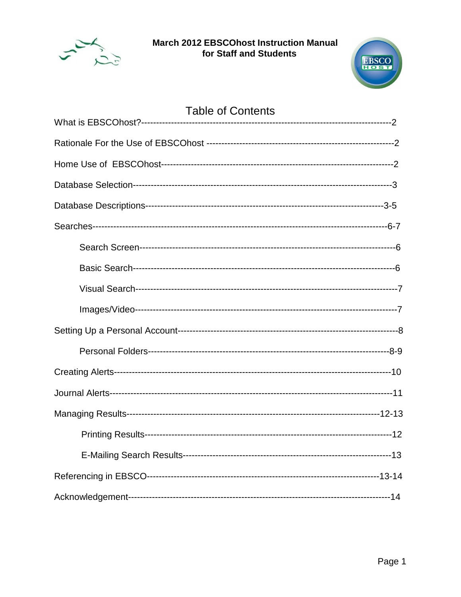



| <b>Table of Contents</b> |  |
|--------------------------|--|
|                          |  |
|                          |  |
|                          |  |
|                          |  |
|                          |  |
|                          |  |
|                          |  |
|                          |  |
|                          |  |
|                          |  |
|                          |  |
|                          |  |
|                          |  |
|                          |  |
|                          |  |
|                          |  |
|                          |  |
|                          |  |
|                          |  |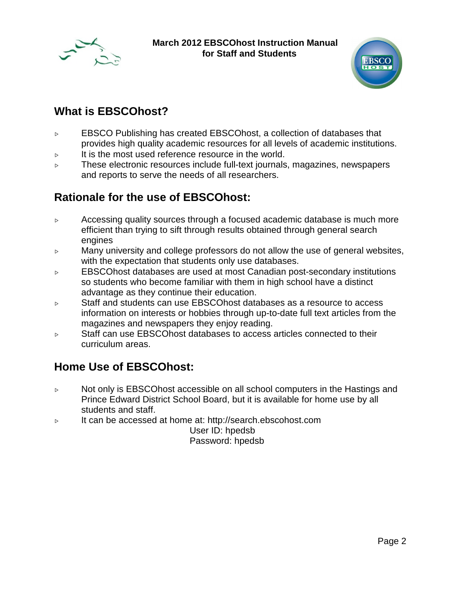



## **What is EBSCOhost?**

- $\triangleright$  EBSCO Publishing has created EBSCOhost, a collection of databases that provides high quality academic resources for all levels of academic institutions.
- $\triangleright$  It is the most used reference resource in the world.
- $\triangleright$  These electronic resources include full-text journals, magazines, newspapers and reports to serve the needs of all researchers.

## **Rationale for the use of EBSCOhost:**

- $\triangleright$  Accessing quality sources through a focused academic database is much more efficient than trying to sift through results obtained through general search engines
- $\triangleright$  Many university and college professors do not allow the use of general websites, with the expectation that students only use databases.
- $\triangleright$  EBSCOhost databases are used at most Canadian post-secondary institutions so students who become familiar with them in high school have a distinct advantage as they continue their education.
- $\triangleright$  Staff and students can use EBSCOhost databases as a resource to access information on interests or hobbies through up-to-date full text articles from the magazines and newspapers they enjoy reading.
- $\triangleright$  Staff can use EBSCOhost databases to access articles connected to their curriculum areas.

## **Home Use of EBSCOhost:**

- $\triangleright$  Not only is EBSCOhost accessible on all school computers in the Hastings and Prince Edward District School Board, but it is available for home use by all students and staff.
- $\triangleright$  It can be accessed at home at: http://search.ebscohost.com

User ID: hpedsb Password: hpedsb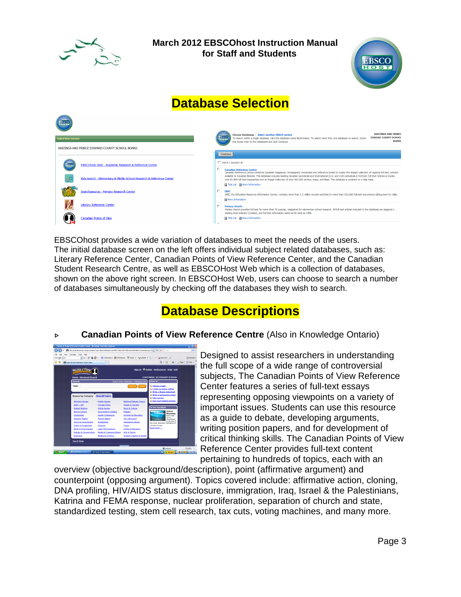



# **Database Selection**



EBSCOhost provides a wide variation of databases to meet the needs of the users. The initial database screen on the left offers individual subject related databases, such as: Literary Reference Center, Canadian Points of View Reference Center, and the Canadian Student Research Centre, as well as EBSCOHost Web which is a collection of databases, shown on the above right screen. In EBSCOHost Web, users can choose to search a number of databases simultaneously by checking off the databases they wish to search.

# **Database Descriptions**

### **EXEC 25 Canadian Points of View Reference Centre** (Also in Knowledge Ontario)



Designed to assist researchers in understanding the full scope of a wide range of controversial subjects, The Canadian Points of View Reference Center features a series of full-text essays representing opposing viewpoints on a variety of important issues. Students can use this resource as a guide to debate, developing arguments, writing position papers, and for development of critical thinking skills. The Canadian Points of View Reference Center provides full-text content pertaining to hundreds of topics, each with an

overview (objective background/description), point (affirmative argument) and counterpoint (opposing argument). Topics covered include: affirmative action, cloning, DNA profiling, HIV/AIDS status disclosure, immigration, Iraq, Israel & the Palestinians, Katrina and FEMA response, nuclear proliferation, separation of church and state, standardized testing, stem cell research, tax cuts, voting machines, and many more.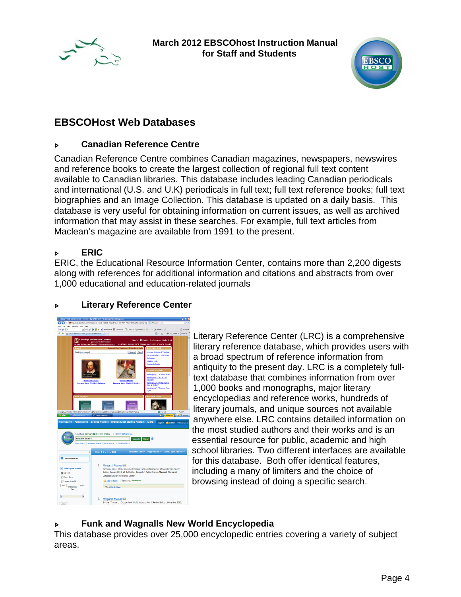



## **EBSCOHost Web Databases**

### Í **Canadian Reference Centre**

Canadian Reference Centre combines Canadian magazines, newspapers, newswires and reference books to create the largest collection of regional full text content available to Canadian libraries. This database includes leading Canadian periodicals and international (U.S. and U.K) periodicals in full text; full text reference books; full text biographies and an Image Collection. This database is updated on a daily basis. This database is very useful for obtaining information on current issues, as well as archived information that may assist in these searches. For example, full text articles from Maclean's magazine are available from 1991 to the present.

### Í **ERIC**

ERIC, the Educational Resource Information Center, contains more than 2,200 digests along with references for additional information and citations and abstracts from over 1,000 educational and education-related journals

### **EXECUTE:** Literary Reference Center



Literary Reference Center (LRC) is a comprehensive literary reference database, which provides users with a broad spectrum of reference information from antiquity to the present day. LRC is a completely fulltext database that combines information from over 1,000 books and monographs, major literary encyclopedias and reference works, hundreds of literary journals, and unique sources not available anywhere else. LRC contains detailed information on the most studied authors and their works and is an essential resource for public, academic and high school libraries. Two different interfaces are available for this database. Both offer identical features, including a many of limiters and the choice of browsing instead of doing a specific search.

### **Funk and Wagnalls New World Encyclopedia**

This database provides over 25,000 encyclopedic entries covering a variety of subject areas.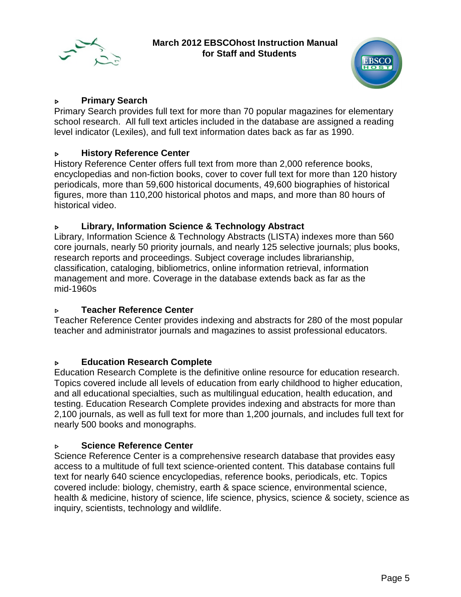



### **EXECUTE:** Primary Search

Primary Search provides full text for more than 70 popular magazines for elementary school research. All full text articles included in the database are assigned a reading level indicator (Lexiles), and full text information dates back as far as 1990.

### **EXECUTE:** History Reference Center

History Reference Center offers full text from more than 2,000 reference books, encyclopedias and non-fiction books, cover to cover full text for more than 120 history periodicals, more than 59,600 historical documents, 49,600 biographies of historical figures, more than 110,200 historical photos and maps, and more than 80 hours of historical video.

### **EXECUTE:** Library, Information Science & Technology Abstract

Library, Information Science & Technology Abstracts (LISTA) indexes more than 560 core journals, nearly 50 priority journals, and nearly 125 selective journals; plus books, research reports and proceedings. Subject coverage includes librarianship, classification, cataloging, bibliometrics, online information retrieval, information management and more. Coverage in the database extends back as far as the mid-1960s

### **EXECUTE:** Teacher Reference Center

Teacher Reference Center provides indexing and abstracts for 280 of the most popular teacher and administrator journals and magazines to assist professional educators.

### Í **Education Research Complete**

Education Research Complete is the definitive online resource for education research. Topics covered include all levels of education from early childhood to higher education, and all educational specialties, such as multilingual education, health education, and testing. Education Research Complete provides indexing and abstracts for more than 2,100 journals, as well as full text for more than 1,200 journals, and includes full text for nearly 500 books and monographs.

### **Science Reference Center**

Science Reference Center is a comprehensive research database that provides easy access to a multitude of full text science-oriented content. This database contains full text for nearly 640 science encyclopedias, reference books, periodicals, etc. Topics covered include: biology, chemistry, earth & space science, environmental science, health & medicine, history of science, life science, physics, science & society, science as inquiry, scientists, technology and wildlife.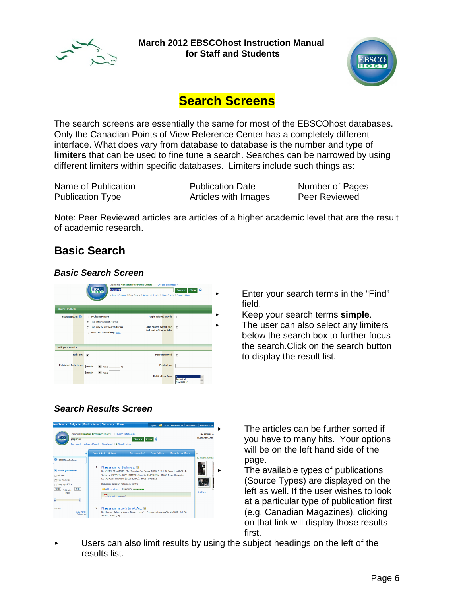



# **Search Screens**

The search screens are essentially the same for most of the EBSCOhost databases. Only the Canadian Points of View Reference Center has a completely different interface. What does vary from database to database is the number and type of **limiters** that can be used to fine tune a search. Searches can be narrowed by using different limiters within specific databases. Limiters include such things as:

Name of Publication **Publication Date** Number of Pages Publication Type **Articles with Images** Peer Reviewed

Note: Peer Reviewed articles are articles of a higher academic level that are the result of academic research.

## **Basic Search**

### **Basic Search Screen**



- $\blacktriangleright$  Enter your search terms in the "Find" field.
	- < Keep your search terms **simple**.
- $\blacktriangleright$  The user can also select any limiters below the search box to further focus the search.Click on the search button to display the result list.

### **Search Results Screen**



The articles can be further sorted if you have to many hits. Your options will be on the left hand side of the page.

The available types of publications (Source Types) are displayed on the left as well. If the user wishes to look at a particular type of publication first (e.g. Canadian Magazines), clicking on that link will display those results first.

Users can also limit results by using the subject headings on the left of the results list.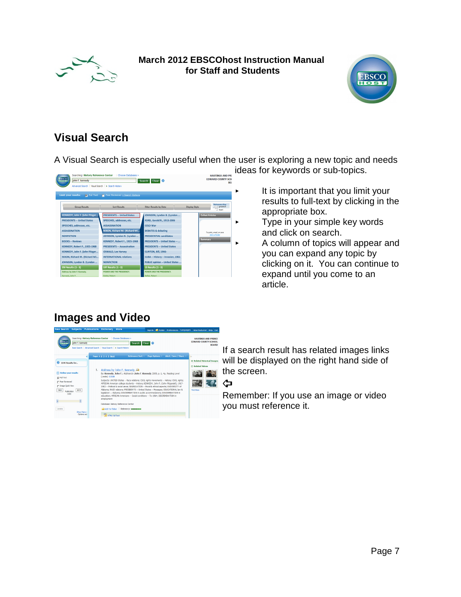



## **Visual Search**

A Visual Search is especially useful when the user is exploring a new topic and needs ideas for keywords or sub-topics.



It is important that you limit your results to full-text by clicking in the appropriate box.

- **Type in your simple key words** and click on search.
- $\blacktriangleright$  A column of topics will appear and you can expand any topic by clicking on it. You can continue to expand until you come to an article.

## **Images and Video**



If a search result has related images links will be displayed on the right hand side of the screen.

Remember: If you use an image or video you must reference it.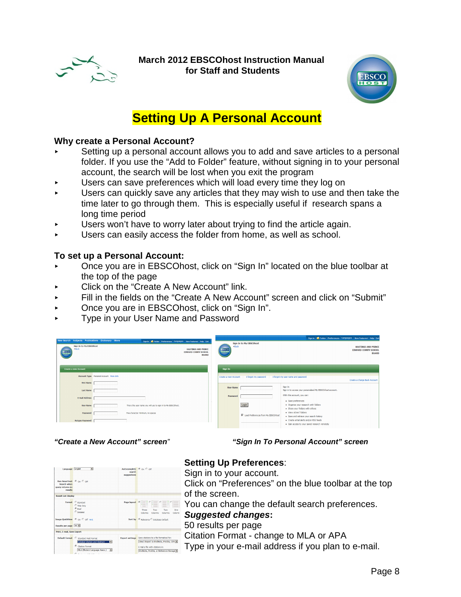



# **Setting Up A Personal Account**

### **Why create a Personal Account?**

- Setting up a personal account allows you to add and save articles to a personal folder. If you use the "Add to Folder" feature, without signing in to your personal account, the search will be lost when you exit the program
- Users can save preferences which will load every time they log on
- Users can quickly save any articles that they may wish to use and then take the time later to go through them. This is especially useful if research spans a long time period
- Users won't have to worry later about trying to find the article again.
- Users can easily access the folder from home, as well as school.

### **To set up a Personal Account:**

- < Once you are in EBSCOhost, click on "Sign In" located on the blue toolbar at the top of the page
- **EXECUTE:** Click on the "Create A New Account" link.
- Fill in the fields on the "Create A New Account" screen and click on "Submit"
- ▶ Once you are in EBSCOhost, click on "Sign In".
- < Type in your User Name and Password

| New Search Subjects Publications Dictionary More |                                         |                                                                                                                                                    |                      |                                      |                                                                                         | Sign In <b>E</b> Folder Preferences Languages New Features! Help Exit     |
|--------------------------------------------------|-----------------------------------------|----------------------------------------------------------------------------------------------------------------------------------------------------|----------------------|--------------------------------------|-----------------------------------------------------------------------------------------|---------------------------------------------------------------------------|
| Sign In to My EBSCOhost<br>+Back<br>ERSCO        |                                         | Sign in <b>B</b> Folder Preferences Languages New Features! Help Exit<br><b>HASTINGS AND PRINCE</b><br><b>EDWARD COUNTY SCHOOL</b><br><b>BOARD</b> | +Back<br>EBSCO       | Sign In to My EBSCOhost              |                                                                                         | <b>HASTINGS AND PRINCE</b><br><b>EDWARD COUNTY SCHOOL</b><br><b>BOARD</b> |
| <b>Create a new Account</b>                      |                                         |                                                                                                                                                    | Sign In              |                                      |                                                                                         |                                                                           |
|                                                  | Account Type Personal Account More Info |                                                                                                                                                    | Create a new Account | I forgot my password                 | I forgot my user name and password                                                      | Create a Charge Back Account                                              |
| <b>First Name</b><br><b>Last Name</b>            |                                         |                                                                                                                                                    | <b>User Name</b>     |                                      | Sign In<br>Sign in to access your personalized My EBSCO/host account.                   |                                                                           |
| E-mail Address                                   |                                         |                                                                                                                                                    | Password             |                                      | With this account, you can:<br>· Save preferences                                       |                                                                           |
| <b>User Name</b>                                 |                                         | This is the user name you will use to sign in to My EBSCOhost.                                                                                     |                      | Login                                | . Organize your research with folders<br>. Share your folders with others               |                                                                           |
| Password                                         |                                         | Five-character minimum, no spaces                                                                                                                  |                      | E Load Preferences from My EBSCOhost | · View others' folders<br>. Save and retrieve your search history                       |                                                                           |
| <b>Retype Password</b>                           |                                         |                                                                                                                                                    |                      |                                      | . Create email alerts and/or RSS feeds<br>. Gain access to your saved research remotely |                                                                           |

**"Create a New Account" screen**" **"Sign In To Personal Account" screen**

| Language English<br>Run Smarttext @ nn C nff<br>Search when<br>query returns no<br>results | $\overline{ }$                                                                                                                                             | Autocomplete $C_{0n}$ $C_{0f}$<br>search<br>suggestions |                                                                                                                                                                   |
|--------------------------------------------------------------------------------------------|------------------------------------------------------------------------------------------------------------------------------------------------------------|---------------------------------------------------------|-------------------------------------------------------------------------------------------------------------------------------------------------------------------|
| <b>Result List Display</b>                                                                 |                                                                                                                                                            |                                                         |                                                                                                                                                                   |
|                                                                                            | Format C standard<br>C Title Only<br>$C$ Rriof<br>C petaled                                                                                                | Page layout                                             | $\epsilon$<br>c<br>$\circ$ .<br>E C<br>Three<br>Two<br>Two<br>One<br>Columns<br>Columns<br>Columns<br>Column                                                      |
|                                                                                            | Image OuickView C on C off Hint                                                                                                                            |                                                         | Sort by C Relevance C Database Default                                                                                                                            |
| Results per page 50                                                                        |                                                                                                                                                            |                                                         |                                                                                                                                                                   |
| Print, E-mail, Save Export                                                                 |                                                                                                                                                            |                                                         |                                                                                                                                                                   |
|                                                                                            | Default format C Standard Field Format<br>Detailed Citation and Abstract<br>$\epsilon$<br><b>Citation Format</b><br>MLA (Modern Language Assoc.)<br>$\sim$ | <b>Export settings</b>                                  | Save citations to a file formatted for:<br>Direct Export to EndNote, ProCite, CITA<br>F-mail a file with citations in:<br>EndNote, ProCite, or Reference Manage = |

### **Setting Up Preferences**:

Sign in to your account. Click on "Preferences" on the blue toolbar at the top of the screen. You can change the default search preferences. **Suggested changes:** 50 results per page

Citation Format - change to MLA or APA

Type in your e-mail address if you plan to e-mail.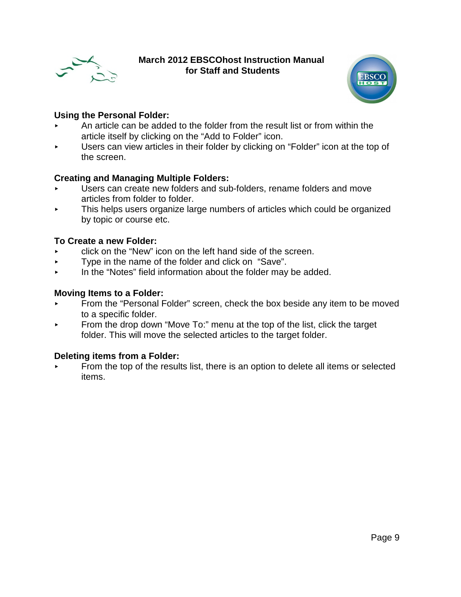



### **Using the Personal Folder:**

- < An article can be added to the folder from the result list or from within the article itself by clicking on the "Add to Folder" icon.
- < Users can view articles in their folder by clicking on "Folder" icon at the top of the screen.

### **Creating and Managing Multiple Folders:**

- < Users can create new folders and sub-folders, rename folders and move articles from folder to folder.
- **Fig.** This helps users organize large numbers of articles which could be organized by topic or course etc.

### **To Create a new Folder:**

- $\triangleright$  click on the "New" icon on the left hand side of the screen.
- $\blacktriangleright$  Type in the name of the folder and click on "Save".
- $\blacktriangleright$  In the "Notes" field information about the folder may be added.

### **Moving Items to a Folder:**

- < From the "Personal Folder" screen, check the box beside any item to be moved to a specific folder.
- $\triangleright$  From the drop down "Move To:" menu at the top of the list, click the target folder. This will move the selected articles to the target folder.

### **Deleting items from a Folder:**

From the top of the results list, there is an option to delete all items or selected items.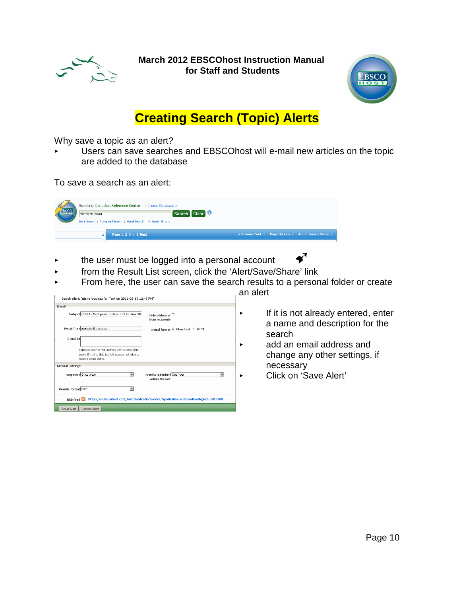



# **Creating Search (Topic) Alerts**

Why save a topic as an alert?

< Users can save searches and EBSCOhost will e-mail new articles on the topic are added to the database

To save a search as an alert:

| <b>BIOBE</b> | Searching: Canadian Reference Centre<br>Choose Databases »<br>$\blacksquare$ Search $\blacksquare$ Clear $\blacksquare$<br>pierre trudeau<br>Basic Search   Advanced Search   Visual Search   ▶ Search History |  |                                                                             |
|--------------|----------------------------------------------------------------------------------------------------------------------------------------------------------------------------------------------------------------|--|-----------------------------------------------------------------------------|
|              | Page: 1 2 3 4 5 Next<br>$\ll$                                                                                                                                                                                  |  | Relevance Sort $\times$ Page Options $\times$ Alert / Save / Share $\times$ |

- $\triangleright$  the user must be logged into a personal account  $\blacklozenge$
- **Fall of the Kesult List screen, click the 'Alert/Save/Share' link**
- $\blacktriangleright$  From here, the user can save the search results to a personal folder or create

| F-mail                                                                                            |                                                |
|---------------------------------------------------------------------------------------------------|------------------------------------------------|
| Subject EBSCO Alert: pierre trudeau Full Text on 201                                              | Hide addresses $\square$<br>from recipients    |
| E-mail from epalerts@epnet.com                                                                    | F-mail format <sup>©</sup> Plain Text C HTML   |
| E-mail to                                                                                         |                                                |
| Separate each e-mail address with a semicolon.                                                    |                                                |
| Leave E-mail to field blank if you do not wish to<br>receive e-mail alerts.                       |                                                |
| <b>General Settings</b>                                                                           |                                                |
| Frequency Once a day                                                                              | Articles published One Year<br>within the last |
| Results format Brief                                                                              |                                                |
| RSS Feed a http://rss.ebscohost.com/AlertSyndicationService/Syndication.asmx/GetFeed?guid=2812789 |                                                |
| Save Alert<br>Cancel Alert                                                                        |                                                |

an alert

- $\blacktriangleright$  If it is not already entered, enter a name and description for the search
- **Example 2** add an email address and change any other settings, if necessary
	- < Click on 'Save Alert'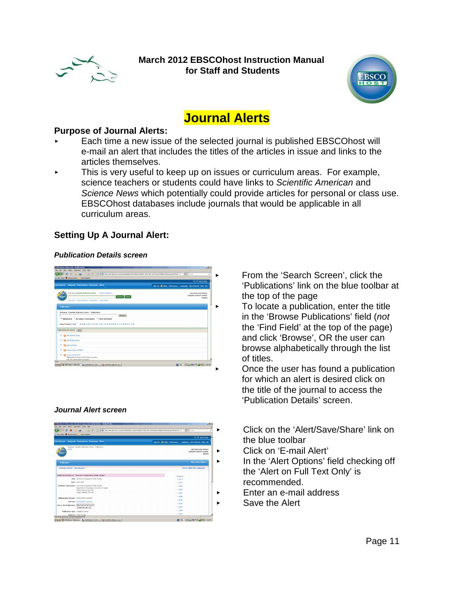



# **Journal Alerts**

### **Purpose of Journal Alerts:**

- < Each time a new issue of the selected journal is published EBSCOhost will e-mail an alert that includes the titles of the articles in issue and links to the articles themselves.
- $\triangleright$  This is very useful to keep up on issues or curriculum areas. For example, science teachers or students could have links to Scientific American and Science News which potentially could provide articles for personal or class use. EBSCOhost databases include journals that would be applicable in all curriculum areas.

### **Setting Up A Journal Alert:**

### **Publication Details screen**

| A Most Visited & Getting Started A Lotest Headlines                           |                                                                                |
|-------------------------------------------------------------------------------|--------------------------------------------------------------------------------|
|                                                                               | Not MP Sign in horo.                                                           |
| New Search Bublects Publications Dictionary More                              |                                                                                |
|                                                                               | Sign Out   45 Febbr   Preferences  <br>Languages   New Fosterest   Help   Cott |
| Searching: Canadian Reference Centre   Choose Databases >                     | HASTINGS AND PRINCE                                                            |
| wm<br>Search Clear<br><b>TELEVIS</b>                                          | FOIDARD COUNTY SCHOOL<br>BOARD                                                 |
| Basic Search   Advanced Search   Visual Search   Search History               |                                                                                |
| <b>Publications</b>                                                           |                                                                                |
|                                                                               |                                                                                |
| Browning: Canadian Reference Centre -- Publications                           |                                                                                |
| Browse                                                                        |                                                                                |
| <sup>(2</sup> Alphabetical C By Subject & Description C Match Any Words       |                                                                                |
| Page: Previous   Next 4 A B C D E F G H 1 J K L M N O P O R S T U Y W X Y Z B |                                                                                |
| Mark Items for Search Add                                                     |                                                                                |
|                                                                               |                                                                                |
| E B ABC Promium Nows                                                          |                                                                                |
| E B ADC Regional News                                                         |                                                                                |
| E By ABC Rural News                                                           |                                                                                |
| E B Abrams Report (MSNBC)                                                     |                                                                                |
|                                                                               |                                                                                |

### **Journal Alert screen**



- < From the 'Search Screen', click the 'Publications' link on the blue toolbar at the top of the page
- < To locate a publication, enter the title in the 'Browse Publications' field (not the 'Find Field' at the top of the page) and click 'Browse', OR the user can browse alphabetically through the list of titles.
- < Once the user has found a publication for which an alert is desired click on the title of the journal to access the 'Publication Details' screen.
- < Click on the 'Alert/Save/Share' link on the blue toolbar
- < Click on 'E-mail Alert'
- **Example 2** In the 'Alert Options' field checking off the 'Alert on Full Text Only' is recommended.
- **Enter an e-mail address** 
	- Save the Alert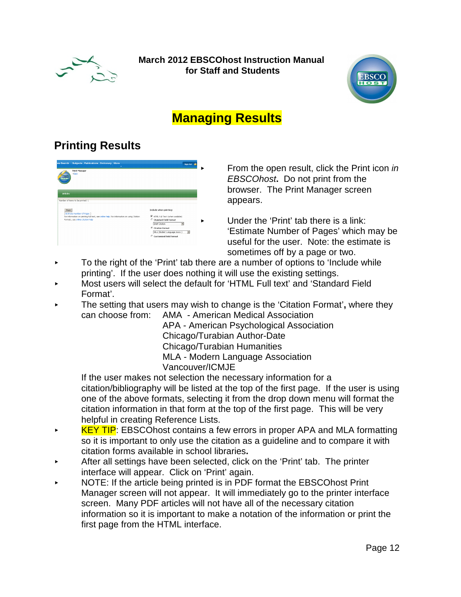



# **Managing Results**

## **Printing Results**

| Print Manager<br>(Back                                                                                                 |                                                          |
|------------------------------------------------------------------------------------------------------------------------|----------------------------------------------------------|
| <b>EBSCO</b>                                                                                                           |                                                          |
|                                                                                                                        |                                                          |
| <b>Articles</b>                                                                                                        |                                                          |
|                                                                                                                        |                                                          |
|                                                                                                                        |                                                          |
| Number of items to be printed: 1                                                                                       |                                                          |
| Print                                                                                                                  | Include when printing:                                   |
| Estimate Number Of Pages ]<br>For information on printing full text, see online help. For information on using Gtation | M HTML Full Text (when available)                        |
| Formats, see online otation help                                                                                       | C Standard Field Format                                  |
|                                                                                                                        | <b>Brief Citation</b>                                    |
|                                                                                                                        | <sup>C</sup> Citation Format                             |
|                                                                                                                        | MLA (Modern Language Assoc.)<br>$\overline{\phantom{a}}$ |

From the open result, click the Print icon in EBSCOhost**.** Do not print from the browser.The Print Manager screen appears.

< Under the 'Print' tab there is a link: 'Estimate Number of Pages' which may be useful for the user. Note: the estimate is sometimes off by a page or two.

- $\triangleright$  To the right of the 'Print' tab there are a number of options to 'Include while printing'. If the user does nothing it will use the existing settings.
- < Most users will select the default for 'HTML Full text' and 'Standard Field Format'.
- < The setting that users may wish to change is the 'Citation Format'**,** where they can choose from: AMA - American Medical Association

APA - American Psychological Association Chicago/Turabian Author-Date Chicago/Turabian Humanities MLA - Modern Language Association Vancouver/ICMJE

If the user makes not selection the necessary information for a citation/bibliography will be listed at the top of the first page. If the user is using one of the above formats, selecting it from the drop down menu will format the citation information in that form at the top of the first page. This will be very helpful in creating Reference Lists.

- EXTIP: EBSCOhost contains a few errors in proper APA and MLA formatting so it is important to only use the citation as a guideline and to compare it with citation forms available in school libraries**.**
- < After all settings have been selected, click on the 'Print' tab. The printer interface will appear. Click on 'Print' again.
- < NOTE: If the article being printed is in PDF format the EBSCOhost Print Manager screen will not appear. It will immediately go to the printer interface screen. Many PDF articles will not have all of the necessary citation information so it is important to make a notation of the information or print the first page from the HTML interface.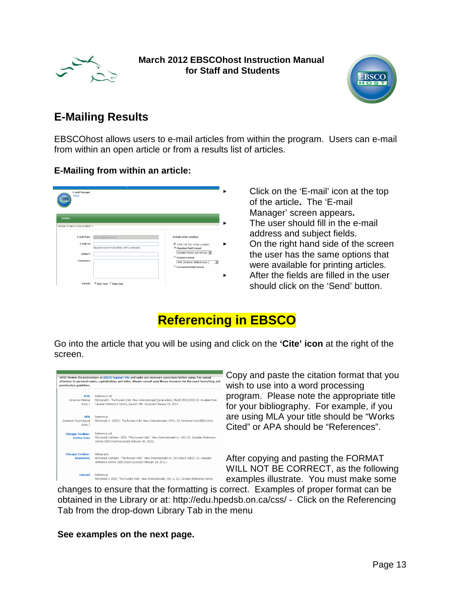



## **E-Mailing Results**

EBSCOhost allows users to e-mail articles from within the program. Users can e-mail from within an open article or from a results list of articles.

### **E-Mailing from within an article:**

| E-mail Manager<br><b>KBack</b><br>EBSCO |                                                |                                                                         |
|-----------------------------------------|------------------------------------------------|-------------------------------------------------------------------------|
| <b>Articles</b>                         |                                                |                                                                         |
| Number of items to be e-maled: 1        |                                                |                                                                         |
| E-mail from:                            | ephost@epnet.com                               | Include when sending:                                                   |
| E-mail to:                              | Separate each e-mail address with a semicolon. | M HTML Full Text (when available)<br><sup>©</sup> Standard Field Format |
| Subject:                                |                                                | Detailed Citation and Abstract<br>C Citation Format                     |
| Comments:                               |                                                | AMA (American Medical Assoc.)<br>$\overline{\phantom{a}}$               |
|                                         |                                                | C Customized Field Format                                               |
|                                         |                                                |                                                                         |

< Click on the 'E-mail' icon at the top of the article**.** The 'E-mail Manager' screen appears**.** The user should fill in the e-mail address and subject fields. < On the right hand side of the screen the user has the same options that were available for printing articles. < After the fields are filled in the user should click on the 'Send' button.

# **Referencing in EBSCO**

Go into the article that you will be using and click on the **'Cite' icon** at the right of the screen.



Copy and paste the citation format that you wish to use into a word processing program. Please note the appropriate title for your bibliography. For example, if you are using MLA your title should be "Works Cited" or APA should be "References".

After copying and pasting the FORMAT WILL NOT BE CORRECT, as the following examples illustrate. You must make some

changes to ensure that the formatting is correct. Examples of proper format can be obtained in the Library or at: http://edu.hpedsb.on.ca/css/ - Click on the Referencing Tab from the drop-down Library Tab in the menu

**See examples on the next page.**